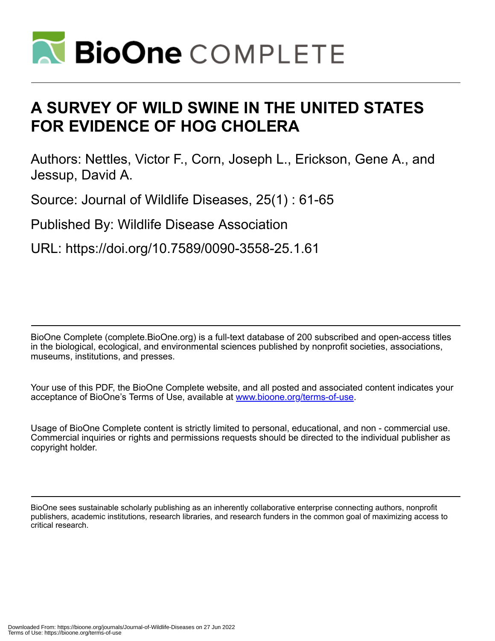

# **A SURVEY OF WILD SWINE IN THE UNITED STATES FOR EVIDENCE OF HOG CHOLERA**

Authors: Nettles, Victor F., Corn, Joseph L., Erickson, Gene A., and Jessup, David A.

Source: Journal of Wildlife Diseases, 25(1) : 61-65

Published By: Wildlife Disease Association

URL: https://doi.org/10.7589/0090-3558-25.1.61

BioOne Complete (complete.BioOne.org) is a full-text database of 200 subscribed and open-access titles in the biological, ecological, and environmental sciences published by nonprofit societies, associations, museums, institutions, and presses.

Your use of this PDF, the BioOne Complete website, and all posted and associated content indicates your acceptance of BioOne's Terms of Use, available at www.bioone.org/terms-of-use.

Usage of BioOne Complete content is strictly limited to personal, educational, and non - commercial use. Commercial inquiries or rights and permissions requests should be directed to the individual publisher as copyright holder.

BioOne sees sustainable scholarly publishing as an inherently collaborative enterprise connecting authors, nonprofit publishers, academic institutions, research libraries, and research funders in the common goal of maximizing access to critical research.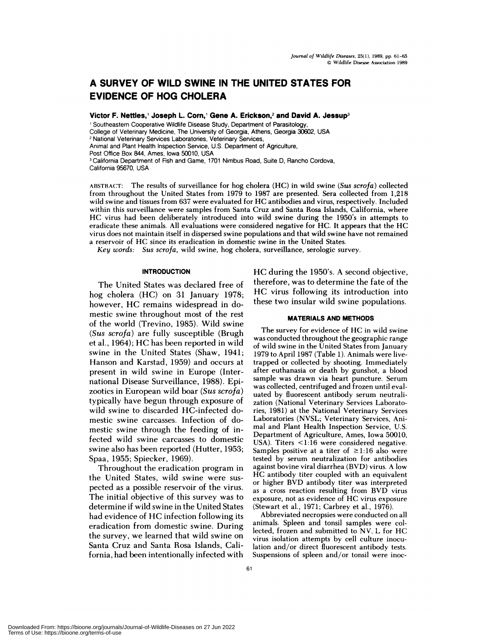## **A SURVEY OF WILD SWINE IN THE UNITED STATES FOR EVIDENCE OF HOG CHOLERA**

**Victor F. Nettles, Joseph L. Corn, Gene A. Erickson,2 and David A. Jessup3**

<sup>1</sup> Southeastern Cooperative Wildlife Disease Study, Department of Parasitology

College of Veterinary Medicine, The University of Georgia, Athens, Georgia 30602, USA

**<sup>2</sup>** National Veterinary Services Laboratories, Veterinary Services,

Animal and Plant Health Inspection Service, U.S. Department of Agriculture,

Post Office Box 844, Ames, Iowa 50010, USA

<sup>3</sup> California Department of Fish and Game, 1701 Nimbus Road, Suite D, Rancho Cordova, California 95670, USA

ABSTRACT: The results of surveillance for hog cholera (HC) in wild **swine** *(Sus scrofa)* collected from throughout the United States from 1979 to 1987 are presented. Sera collected from 1,218 wild swine and tissues from <sup>637</sup> were evaluated for HC antibodies and virus, respectively. Included within this surveillance were samples from Santa Cruz and Santa Rosa Islands, California, where HC virus had been deliberately introduced into wild swine during the 1950's in attempts to eradicate these animals. All evaluations were considered negative for HC. It appears that the HC virus does not maintain itself in dispersed swine populations and that wild swine have not remained a reservoir of HC since its eradication in domestic swine in the United States.

*Key words: Sus scrofa,* wild swine, hog cholera, surveillance, serologic survey.

### **INTRODUCTION**

The United States was declared free of hog cholera (HC) on 31 January 1978; however, HC remains widespread in domestic swine throughout most of the rest of the world (Trevino, 1985). Wild swine *(Sus scrofa)* are fully susceptible (Brugh et al., 1964); HC has been reported in wild swine in the United States (Shaw, 1941; Hanson and Karstad, 1959) and occurs at present in wild swine in Europe (International Disease Surveillance, 1988). Epizootics in European wild boar *(Sus scrofa)* typically have begun through exposure of wild swine to discarded HC-infected domestic swine carcasses. Infection of domestic swine through the feeding of infected wild swine carcasses to domestic swine also has been reported (Hutter, 1953; Spaa, 1955; Spiecker, 1969).

Throughout the eradication program in the United States, wild swine were sus pected as a possible reservoir of the virus. The initial objective of this survey was to determine if wild swine in the United States had evidence of HC infection following its eradication from domestic swine. During the survey, we learned that wild swine on Santa Cruz and Santa Rosa Islands, California, had been intentionally infected with HC during the 1950's. A second objective, therefore, was to determine the fate of the HC virus following its introduction into these two insular wild swine populations.

#### **MATERIALS AND METHODS**

The survey for evidence of HC in wild swine was conducted throughout the geographic range of wild swine in the United States from January 1979 to April 1987 (Table 1). Animals were livetrapped or collected by shooting. Immediately after euthanasia or death by gunshot, a blood sample was drawn via heart puncture. Serum was collected, centrifuged and frozen until eval uated by fluorescent antibody serum neutrali zation (National Veterinary Services Laboratories, 1981) at the National Veterinary Services Laboratories (NVSL; Veterinary Services, Ani mal and Plant Health Inspection Service, U.S. Department of Agriculture, Ames, Iowa 50010, USA). Titers  $\leq$ 1:16 were considered negative. Samples positive at a titer of  $\geq$ 1:16 also were tested by serum neutralization for antibodies against bovine viral diarrhea (BVD) virus. A low HC antibody titer coupled with an equivalent or higher BVD antibody titer was interpreted as a cross reaction resulting from BVD virus exposure, not as evidence of HC virus exposure (Stewart et al., 1971; Carbrey et al., 1976).

Abbreviated necropsies were conducted on all animals. Spleen and tonsil samples were collected, frozen and submitted to NV. L for HC virus isolation attempts by cell culture inoculation and/or direct fluorescent antibody tests. Suspensions of spleen and/or tonsil were inoc-

Downloaded From: https://bioone.org/journals/Journal-of-Wildlife-Diseases on 27 Jun 2022 Terms of Use: https://bioone.org/terms-of-use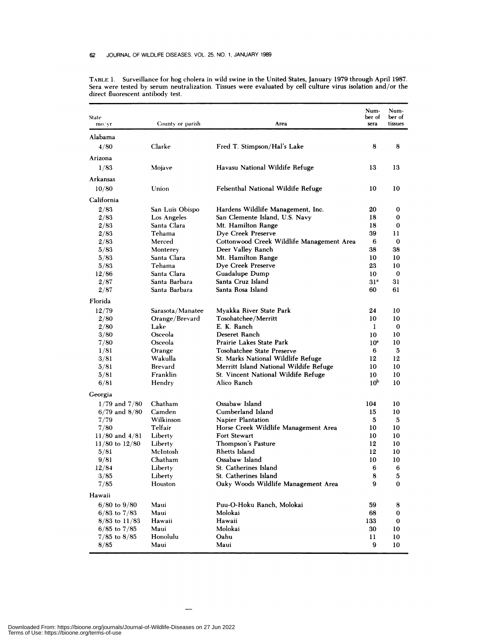| State<br>mo/yr               | County or parish       | Area                                      | Num-<br>ber of<br>sera | Num-<br>ber of<br>tissues |
|------------------------------|------------------------|-------------------------------------------|------------------------|---------------------------|
| Alabama                      |                        |                                           |                        |                           |
| 4/80                         | Clarke                 | Fred T. Stimpson/Hal's Lake               | 8                      | 8                         |
| Arizona                      |                        |                                           |                        |                           |
| 1/83                         | Mojave                 | Havasu National Wildife Refuge            | 13                     | 13                        |
| <b>Arkansas</b>              |                        |                                           |                        |                           |
| 10/80                        | Union                  | Felsenthal National Wildife Refuge        | 10                     | 10                        |
|                              |                        |                                           |                        |                           |
| California                   |                        |                                           |                        |                           |
| 2/83                         | San Luis Obispo        | Hardens Wildlife Management, Inc.         | 20                     | $\bf{0}$                  |
| 2/83                         | Los Angeles            | San Clemente Island, U.S. Navy            | 18                     | 0                         |
| 2/83                         | Santa Clara            | Mt. Hamilton Range                        | 18                     | 0                         |
| 2/83                         | Tehama                 | Dye Creek Preserve                        | 39                     | 11                        |
| 2/83                         | Merced                 | Cottonwood Creek Wildlife Management Area | 6                      | 0                         |
| 5/83                         | Monterey               | Deer Valley Ranch                         | 38                     | 38                        |
| 5/83                         | Santa Clara<br>Tehama  | Mt. Hamilton Range                        | 10                     | 10                        |
| 5/83                         | Santa Clara            | Dye Creek Preserve                        | 23                     | 10<br>$\bf{0}$            |
| 12/86                        | Santa Barbara          | Guadalupe Dump<br>Santa Cruz Island       | 10<br>31 <sup>a</sup>  | 31                        |
| 2/87<br>2/87                 | Santa Barbara          | Santa Rosa Island                         | 60                     | 61                        |
|                              |                        |                                           |                        |                           |
| Florida                      |                        |                                           |                        |                           |
| 12/79                        | Sarasota/Manatee       | Myakka River State Park                   | 24                     | 10<br>10                  |
| 2/80                         | Orange/Brevard<br>Lake | Tosohatchee/Merritt<br>E. K. Ranch        | 10<br>1                | 0                         |
| 2/80                         | Osceola                | Deseret Ranch                             |                        | 10                        |
| 3/80                         | Osceola                | Prairie Lakes State Park                  | 10<br>10 <sup>a</sup>  | 10                        |
| 7/80<br>1/81                 |                        | Tosohatchee State Preserve                | 6                      | 5                         |
|                              | Orange<br>Wakulla      | St. Marks National Wildlife Refuge        | 12                     | 12                        |
| 3/81<br>5/81                 | Brevard                | Merritt Island National Wildife Refuge    | 10                     | 10                        |
| 5/81                         | Franklin               | St. Vincent National Wildife Refuge       | 10                     | 10                        |
| 6/81                         | Hendry                 | Alico Ranch                               | 10 <sup>b</sup>        | 10                        |
|                              |                        |                                           |                        |                           |
| Georgia<br>$1/79$ and $7/80$ | Chatham                | Ossabaw Island                            | 104                    | 10                        |
| $6/79$ and $8/80$            | Camden                 | Cumberland Island                         | 15                     | 10                        |
| 7/79                         | Wilkinson              | Napier Plantation                         | 5                      | 5                         |
| 7/80                         | Telfair                | Horse Creek Wildlife Management Area      | 10                     | 10                        |
| $11/80$ and $4/81$           | Liberty                | <b>Fort Stewart</b>                       | 10                     | 10                        |
| $11/80$ to $12/80$           | Liberty                | Thompson's Pasture                        | 12                     | 10                        |
| 5/81                         | McIntosh               | Rhetts Island                             | 12                     | 10                        |
| 9/81                         | Chatham                | Ossabaw Island                            | 10                     | 10                        |
| 12/84                        | Liberty                | St. Catherines Island                     | 6                      | $\boldsymbol{6}$          |
| 3/85                         | Liberty                | St. Catherines Island                     | 8                      | 5                         |
| 7/85                         | Houston                | Oaky Woods Wildlife Management Area       | 9                      | 0                         |
| Hawaii                       |                        |                                           |                        |                           |
| $6/80$ to $9/80$             | Maui                   | Puu-O-Hoku Ranch, Molokai                 | 59                     | 8                         |
| $6/83$ to $7/83$             | Maui                   | Molokai                                   | 68                     | 0                         |
| $8/83$ to $11/83$            | Hawaii                 | Hawaii                                    | 133                    | 0                         |
| $6/85$ to $7/85$             | Maui                   | Molokai                                   | 30                     | 10                        |
| $7/85$ to $8/85$             | Honolulu               | Oahu                                      | 11                     | 10                        |
| 8/85                         | Maui                   | Maui                                      | 9                      | 10                        |

TABLE 1. Surveillance for hog cholera in wild swine in the United States, January 1979 through April 1987. Sera were tested by serum neutralization. Tissues were evaluated by cell culture virus isolation and/or the direct fluorescent antibody test.

 $\overline{\phantom{a}}$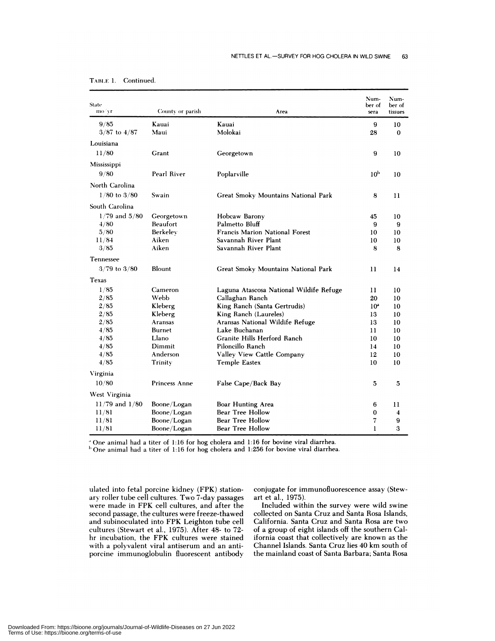| State<br>mo/yr     | County or parish | Area                                    | Num-<br>ber of<br>sera | Num-<br>ber of<br>tissues |
|--------------------|------------------|-----------------------------------------|------------------------|---------------------------|
| 9/85               | Kauai            | Kauai                                   | 9                      | 10                        |
| $3/87$ to $4/87$   | Maui             | Molokai                                 | 28                     | $\bf{0}$                  |
| Louisiana          |                  |                                         |                        |                           |
| 11/80              | Grant            | Georgetown                              | 9                      | 10                        |
| Mississippi        |                  |                                         |                        |                           |
| 9/80               | Pearl River      |                                         | 10 <sup>b</sup>        |                           |
|                    |                  | Poplarville                             |                        | 10                        |
| North Carolina     |                  |                                         |                        |                           |
| $1/80$ to $3/80$   | Swain            | Great Smoky Mountains National Park     | 8                      | $\mathbf{1}$              |
| South Carolina     |                  |                                         |                        |                           |
| $1/79$ and $5/80$  | Georgetown       | Hobcaw Barony                           | 45                     | 10                        |
| 4/80               | Beaufort         | Palmetto Bluff                          | 9                      | 9                         |
| 5/80               | Berkelev         | <b>Francis Marion National Forest</b>   | 10                     | 10                        |
| 11/84              | Aiken            | Savannah River Plant                    | 10                     | 10                        |
| 3/85               | Aiken            | Savannah River Plant                    | 8                      | 8                         |
| Tennessee          |                  |                                         |                        |                           |
| $3/79$ to $3/80$   | Blount           | Great Smoky Mountains National Park     | 11                     | 14                        |
| Texas              |                  |                                         |                        |                           |
| 1/85               | Cameron          | Laguna Atascosa National Wildife Refuge | 11                     | 10                        |
| 2/85               | Webb             | Callaghan Ranch                         | 20                     | 10                        |
| 2/85               | Kleberg          | King Ranch (Santa Gertrudis)            | 10 <sup>a</sup>        | 10                        |
| 2/85               | Kleberg          | King Ranch (Laureles)                   | 13                     | 10                        |
| 2/85               | Aransas          | Aransas National Wildife Refuge         | 13                     | 10                        |
| 4/85               | <b>Burnet</b>    | Lake Buchanan                           | 11                     | 10                        |
| 4/85               | Llano            | Granite Hills Herford Ranch             | 10                     | 10                        |
| 4/85               | Dimmit           | Piloncillo Ranch                        | 14                     | 10                        |
| 4/85               | Anderson         | Valley View Cattle Company              | 12                     | 10                        |
| 4/85               | Trinity          | <b>Temple Eastex</b>                    | 10                     | 10                        |
| Virginia           |                  |                                         |                        |                           |
| 10/80              | Princess Anne    | False Cape/Back Bay                     | 5                      | 5                         |
| West Virginia      |                  |                                         |                        |                           |
| $11/79$ and $1/80$ | Boone/Logan      | Boar Hunting Area                       | 6                      | 11                        |
| 11/81              | Boone/Logan      | Bear Tree Hollow                        | 0                      | 4                         |
| 11/81              | Boone/Logan      | Bear Tree Hollow                        | 7                      | 9                         |
| 11/81              | Boone/Logan      | Bear Tree Hollow                        | 1                      | 3                         |

| Continued |
|-----------|
|           |

One animal had a titer of 1:16 for hog cholera and 1:16 for bovine viral diarrhea.

 $<sup>b</sup>$  One animal had a titer of 1:16 for hog cholera and 1:256 for bovine viral diarrhea.</sup>

ulated into fetal porcine kidney (FPK) station ary roller tube cell cultures. Two 7-day passages were made in FPK cell cultures, and after the second passage, the cultures were freeze-thawed and subinoculated into FPK Leighton tube cell cultures (Stewart et al., 1975). After 48- to 72 hr incubation, the FPK cultures were stained with a polyvalent viral antiserum and an anti porcine immunoglobulin fluorescent antibody

conjugate for immunofluorescence assay (Stewart et al., 1975).

Included within the survey were wild swine collected on Santa Cruz and Santa Rosa Islands, California. Santa Cruz and Santa Rosa are two of a group of eight islands off the southern California coast that collectively are known as the Channel Islands. Santa **Cruz** lies 40 km south of the mainland coast of Santa Barbara; Santa Rosa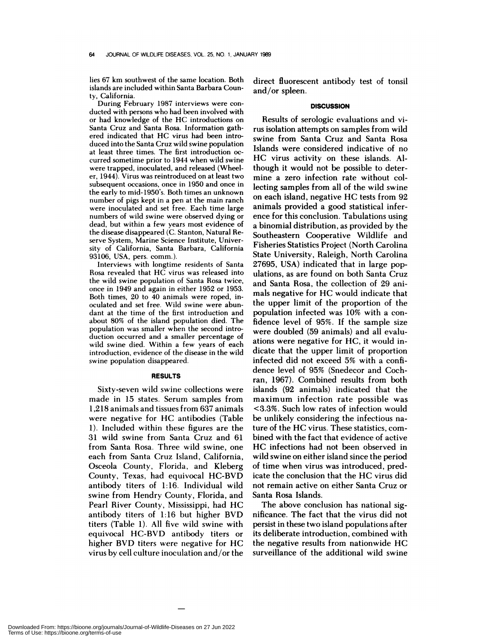lies 67 km southwest of the same location. Both **islands** are included within Santa Barbara County, California.

**During February 1987 interviews were con** ducted with persons who had been involved with **or** had knowledge of the HC introductions **on** Santa Cruz and Santa Rosa. Information gathered indicated that HC virus had been introduced into the Santa Cruz wild swine population at least three times. The first introduction oc curred sometime prior to 1944 when wild swine were trapped, inoculated, and released (Wheeler, 1944). Virus was reintroduced on atleast two subsequent occasions, once in 1950 and once in the early to mid-1950's. Both times an unknown number of pigs kept in a pen at the main ranch were inoculated and setfree. Each time **large** numbers of wild swine were observed dying or dead, but within a few years most evidence of the disease disappeared (C. Stanton, Natural Re serve System, **Marine Science** Institute, University of California, Santa Barbara, California 93106, USA, pers. comm.).

**Interviews** with longtime residents of Santa Rosa revealed that HC virus was released into the wild swine population of Santa Rosa twice, once in 1949 and again in either 1952 or 1953. Both times, 20 to 40 animals were roped, inoculated and set free. Wild swine were abundant at the time of the first introduction and about 80% of the island population died. The population was smaller when the second introduction occurred and a smaller percentage of wild swine died. Within a few years of each introduction, evidence of the disease in the wild swine population disappeared.

#### **RESULTS**

Sixty-seven wild swine collections were made in 15 states. Serum samples from 1,218 animals and tissues from 637 animals were negative for HC antibodies (Table 1). Included within these figures are the 31 wild swine from Santa Cruz and 61 from Santa Rosa. Three wild swine, one each from Santa Cruz Island, California, Osceola County, Florida, and Kleberg County, Texas, had equivocal HC-BVD antibody titers of 1:16. Individual wild swine from Hendry County, Florida, and Pearl River County, Mississippi, had HC antibody titers **of** 1:16 but higher BVD titers (Table 1). All five wild swine with equivocal HC-BVD antibody titers or higher BVD titers were negative for HC virus by cell culture inoculation and/or the

direct fluorescent antibody test of tonsil and/or spleen.

### **DISCUSSION**

Results of serologic evaluations and virus isolation attempts on samples from wild swine from Santa Cruz and Santa Rosa Islands were considered indicative of no HC virus activity on these islands. Although it would not be possible to determine a zero infection rate without collecting samples from all of the wild swine on each island, negative HG tests from 92 animals provided a good statistical infer ence for this conclusion. Tabulations using a binomial distribution, as provided by the Southeastern Cooperative Wildlife and Fisheries Statistics Project (North Carolina State University, Raleigh, North Carolina 27695, USA) indicated that in large populations, as are found on both Santa Cruz and Santa Rosa, the collection of 29 animals negative for HG would indicate that the upper limit of the proportion of the population infected was 10% with a confidence level of 95%. If the sample size were doubled (59 animals) and all evaluations were negative for HG, it would indicate that the upper limit of proportion infected did not exceed 5% with a confidence level of 95% (Snedecor and Cochran, 1967). Combined results from both islands (92 animals) indicated that the maximum infection rate possible was <3.3%. Such low rates of infection would be unlikely considering the infectious nature of the HG virus. These statistics, com bined with the fact that evidence of active HG infections had not been observed in wild swine on either island since the period of time when virus was introduced, predicate the conclusion that the HG virus did not remain active on either Santa Gruz or Santa Rosa Islands.

The above conclusion has national significance. The fact that the virus did not persist in these two island populations after its deliberate introduction, combined with the negative results from nationwide HG surveillance of the additional wild swine